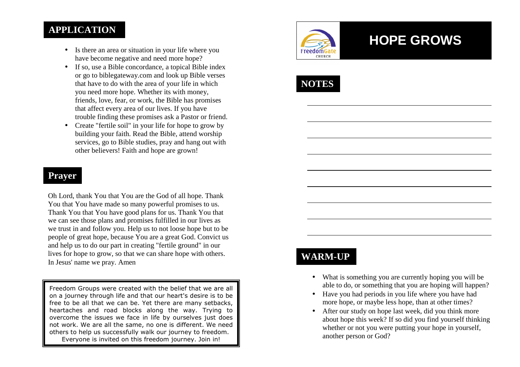## **APPLICATION**

- Is there an area or situation in your life where you have become negative and need more hope?
- If so, use a Bible concordance, a topical Bible index or go to biblegateway.com and look up Bible verses that have to do with the area of your life in whichyou need more hope. Whether its with money, friends, love, fear, or work, the Bible has promises that affect every area of our lives. If you have trouble finding these promises ask a Pastor or friend.
- Create "fertile soil" in your life for hope to grow by building your faith. Read the Bible, attend worship services, go to Bible studies, pray and hang out with other believers! Faith and hope are grown!

#### **Prayer**

Oh Lord, thank You that You are the God of all hope. Thank You that You have made so many powerful promises to us. Thank You that You have good plans for us. Thank You that we can see those plans and promises fulfilled in our lives as we trust in and follow you. Help us to not loose hope but to be people of great hope, because You are a great God. Convict us and help us to do our part in creating "fertile ground" in our lives for hope to grow, so that we can share hope with others. In Jesus' name we pray. Amen

Freedom Groups were created with the belief that we are all on a journey through life and that our heart's desire is to be free to be all that we can be. Yet there are many setbacks, heartaches and road blocks along the way. Trying to overcome the issues we face in life by ourselves just does not work. We are all the same, no one is different. We need others to help us successfully walk our journey to freedom. Everyone is invited on this freedom journey. Join in!



# **HOPE GROWS**



## **WARM-UP**

- What is something you are currently hoping you will be able to do, or something that you are hoping will happen?
- Have you had periods in you life where you have hadmore hope, or maybe less hope, than at other times?
- After our study on hope last week, did you think more about hope this week? If so did you find yourself thinking whether or not you were putting your hope in yourself, another person or God?